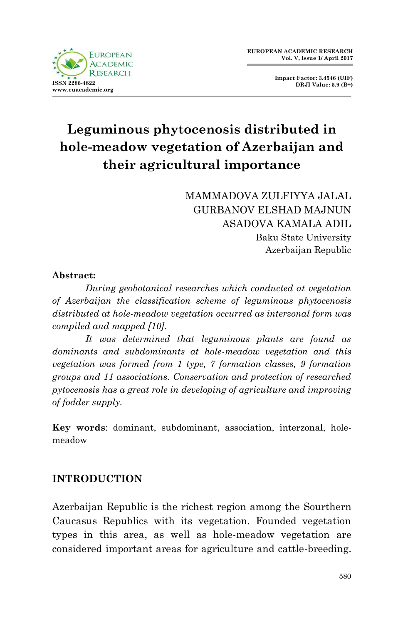

**Impact Factor: 3.4546 (UIF) DRJI Value: 5.9 (B+)**

# **Leguminous phytocenosis distributed in hole-meadow vegetation of Azerbaijan and their agricultural importance**

MAMMADOVA ZULFIYYA JALAL GURBANOV ELSHAD MAJNUN ASADOVA KAMALA ADIL Baku State University Azerbaijan Republic

#### **Abstract:**

*During geobotanical researches which conducted at vegetation of Azerbaijan the classification scheme of leguminous phytocenosis distributed at hole-meadow vegetation occurred as interzonal form was compiled and mapped [10].*

*It was determined that leguminous plants are found as dominants and subdominants at hole-meadow vegetation and this vegetation was formed from 1 type, 7 formation classes, 9 formation groups and 11 associations. Conservation and protection of researched pytocenosis has a great role in developing of agriculture and improving of fodder supply.* 

**Key words**: dominant, subdominant, association, interzonal, holemeadow

#### **INTRODUCTION**

Azerbaijan Republic is the richest region among the Sourthern Caucasus Republics with its vegetation. Founded vegetation types in this area, as well as hole-meadow vegetation are considered important areas for agriculture and cattle-breeding.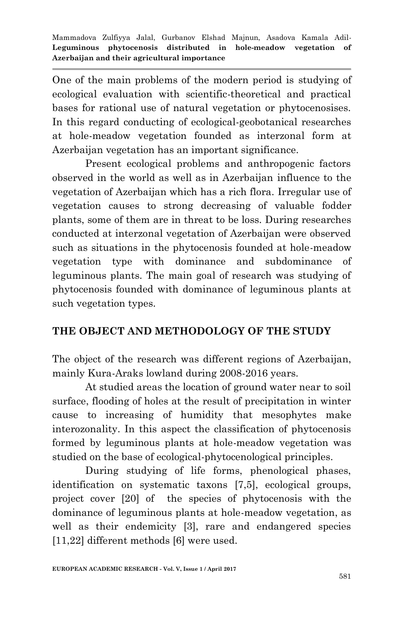One of the main problems of the modern period is studying of ecological evaluation with scientific-theoretical and practical bases for rational use of natural vegetation or phytocenosises. In this regard conducting of ecological-geobotanical researches at hole-meadow vegetation founded as interzonal form at Azerbaijan vegetation has an important significance.

Present ecological problems and anthropogenic factors observed in the world as well as in Azerbaijan influence to the vegetation of Azerbaijan which has a rich flora. Irregular use of vegetation causes to strong decreasing of valuable fodder plants, some of them are in threat to be loss. During researches conducted at interzonal vegetation of Azerbaijan were observed such as situations in the phytocenosis founded at hole-meadow vegetation type with dominance and subdominance of leguminous plants. The main goal of research was studying of phytocenosis founded with dominance of leguminous plants at such vegetation types.

#### **THE OBJECT AND METHODOLOGY OF THE STUDY**

The object of the research was different regions of Azerbaijan, mainly Kura-Araks lowland during 2008-2016 years.

At studied areas the location of ground water near to soil surface, flooding of holes at the result of precipitation in winter cause to increasing of humidity that mesophytes make interozonality. In this aspect the classification of phytocenosis formed by leguminous plants at hole-meadow vegetation was studied on the base of ecological-phytocenological principles.

During studying of life forms, phenological phases, identification on systematic taxons [7,5], ecological groups, project cover [20] of the species of phytocenosis with the dominance of leguminous plants at hole-meadow vegetation, as well as their endemicity [3], rare and endangered species [11,22] different methods [6] were used.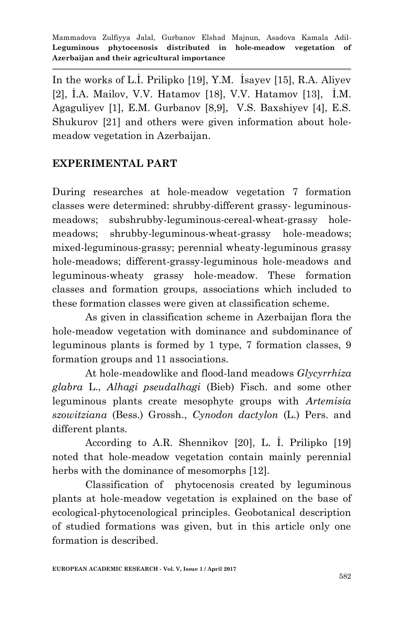In the works of L.İ. Prilipko [19], Y.M. İsayev [15], R.A. Aliyev [2], İ.A. Mailov, V.V. Hatamov [18], V.V. Hatamov [13], İ.M. Agaguliyev [1], E.M. Gurbanov [8,9], V.S. Baxshiyev [4], E.S. Shukurov [21] and others were given information about holemeadow vegetation in Azerbaijan.

# **EXPERIMENTAL PART**

During researches at hole-meadow vegetation 7 formation classes were determined: shrubby-different grassy- leguminousmeadows; subshrubby-leguminous-cereal-wheat-grassy holemeadows; shrubby-leguminous-wheat-grassy hole-meadows; mixed-leguminous-grassy; perennial wheaty-leguminous grassy hole-meadows; different-grassy-leguminous hole-meadows and leguminous-wheaty grassy hole-meadow. These formation classes and formation groups, associations which included to these formation classes were given at classification scheme.

As given in classification scheme in Azerbaijan flora the hole-meadow vegetation with dominance and subdominance of leguminous plants is formed by 1 type, 7 formation classes, 9 formation groups and 11 associations.

At hole-meadowlike and flood-land meadows *Glycyrrhiza glabra* L., *Alhagi pseudalhagi* (Bieb) Fisch. and some other leguminous plants create mesophyte groups with *Artemisia szowitziana* (Bess.) Grossh., *Cynodon dactylon* (L.) Pers. and different plants.

According to A.R. Shennikov [20], L. İ. Prilipko [19] noted that hole-meadow vegetation contain mainly perennial herbs with the dominance of mesomorphs [12].

Classification of phytocenosis created by leguminous plants at hole-meadow vegetation is explained on the base of ecological-phytocenological principles. Geobotanical description of studied formations was given, but in this article only one formation is described.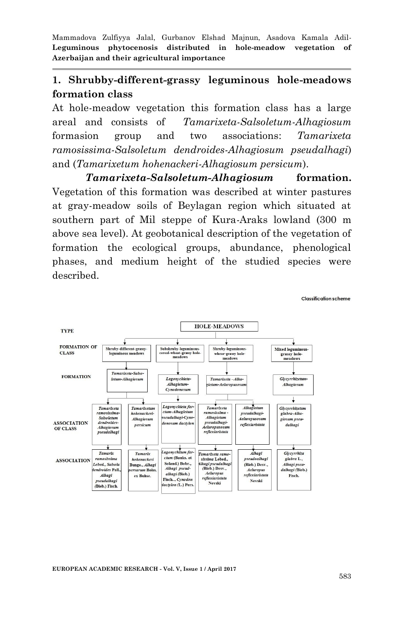#### **1. Shrubby-different-grassy leguminous hole-meadows formation class**

At hole-meadow vegetation this formation class has a large areal and consists of *Tamarixeta-Salsoletum-Alhagiosum* formasion group and two associations: *Tamarixeta ramosissima-Salsoletum dendroides-Alhagiosum pseudalhagi*) and (*Tamarixetum hohenackeri-Alhagiosum persicum*).

*Tamarixeta-Salsoletum-Alhagiosum* **formation.** Vegetation of this formation was described at winter pastures at gray-meadow soils of Beylagan region which situated at southern part of Mil steppe of Kura-Araks lowland (300 m above sea level). At geobotanical description of the vegetation of formation the ecological groups, abundance, phenological phases, and medium height of the studied species were described.



**EUROPEAN ACADEMIC RESEARCH - Vol. V, Issue 1 / April 2017**

Classification scheme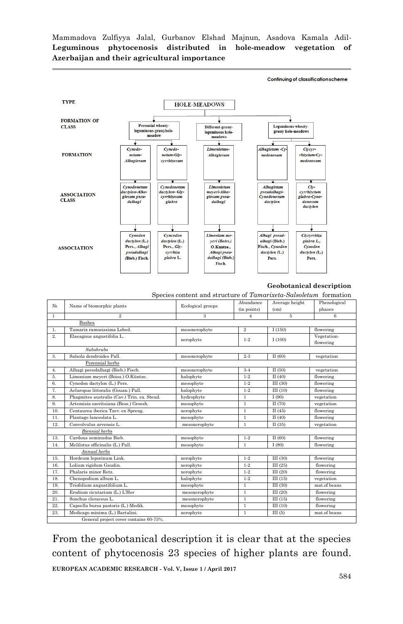**TYPE HOLE-MEADOWS FORMATION OF** Perennial wheaty Leguminous-wheaty-<br>grassy hole-meadows **CLASS** Different-grassy<br>leguminous hole leguminous-grassyhole-<br>meadow  $\frac{1}{1}$  meadows ↴ -4 Cynodo-Cynodo-Limonietum-Alhagietum -Cy- $Cycyr$ **FORMATION**  $rhizetum-Cv$ netumnetum-Gh-Alhagiosum nodonosum Alhagiosum  $cvrhirosum$ nodonosum  $\overline{\mathbf{v}}$  $\overline{\mathbf{r}}$  $\overline{\mathbf{v}}$  $\overline{\phantom{a}}$ ᠴ  $\fbox{\parbox{1cm}{0.5cm}Cynodone tum} {\footnotesize{dactylon-Gly-cyrhizosum}}$ Cynodonetum Limonietum Alhagietum<br>pseudalhagi- $\frac{Cly}{cyrthize$ lactvlon-Alhameyeri-Alha-ASSOCIATION<br>CLASS glabra-Cyno-<br>donosum<br>dactylon giosum pseu-<br>dalhagi giosum pseu-<br>dalhagi Cynodonosum glabra dactylon  $\frac{1}{\sqrt{\frac{1}{\sqrt{\frac{1}{\sqrt{\frac{1}{\sqrt{\frac{1}{\sqrt{\frac{1}{\sqrt{\frac{1}{\sqrt{\frac{1}{\sqrt{\frac{1}{\sqrt{\frac{1}{\sqrt{\frac{1}{\sqrt{\frac{1}{\sqrt{\frac{1}{\sqrt{\frac{1}{\sqrt{\frac{1}{\sqrt{\frac{1}{\sqrt{\frac{1}{\sqrt{\frac{1}{\sqrt{\frac{1}{\sqrt{\frac{1}{\sqrt{\frac{1}{\sqrt{\frac{1}{\sqrt{\frac{1}{\sqrt{\frac{1}{\sqrt{\frac{1}{\sqrt{\frac{1}{\sqrt{\frac{1}{\sqrt{\frac{1}{\sqrt{\frac{1}{\sqrt{\frac{1}{\sqrt{\frac{1}{1\sqrt{\frac$ ÷ Cyncodon Limonium me-Alhagi pseud-Clycyrrhiza dactylon (L.)  $dactylon$  (L.) yeri (Boiss.) alhagi (Bieb.) glabra L., Pers., Alhagi Pers., Gly-O.Kuntze. Fisch., Cynodor Cynodon **ASSOCIATION** pseudalhagi  $dactylon$  (L.)  $dactylon$  (L.) cyrrhiza Alhagi pseu-(Bieb.) Fisch. glabra L. dalhagi (Bieb.) Pers. Pers. Fisch.

#### **Geobotanical description**

Continuing of classification scheme

Species content and structure of *Tamarixeta-Salsoletum* formation

| N <sub>2</sub>                         | Name of biomorphic plants                   | Ecological groups | Abundance<br>(in points) | Average height<br>(cm) | Phenological<br>phases   |
|----------------------------------------|---------------------------------------------|-------------------|--------------------------|------------------------|--------------------------|
| $\mathbf{1}$                           | $\overline{2}$                              | 3                 | $\overline{4}$           | 5                      | 6                        |
| <b>Bushes</b>                          |                                             |                   |                          |                        |                          |
| 1.                                     | Tamarix ramosissima Lebed.                  | mesoxerophyte     | $\overline{2}$           | I(150)                 | flowering                |
| $\overline{2}$                         | Elaeagnus angustifolia L.                   | xerophyte         | $1 - 2$                  | I(100)                 | Vegetation-<br>flowering |
| Subshrubs                              |                                             |                   |                          |                        |                          |
| 3.                                     | Salsola dendroides Pall.                    | mesoxerophyte     | $2 - 3$                  | II(60)                 | vegetation               |
| Perennial herbs                        |                                             |                   |                          |                        |                          |
| 4.                                     | Alhagi pseudalhagi (Bieb.) Fisch.           | mesoxerophyte     | $3 - 4$                  | II(50)                 | vegetation               |
| 5.                                     | Limonium meyeri (Boiss.) O.Küntze.          | halophyte         | $1 - 2$                  | $\Pi(40)$              | flowering                |
| 6.                                     | Cynodon dactylon (L.) Pers.                 | mesophyte         | $1 - 2$                  | III(30)                | flowering                |
| 7.                                     | Aeluropus littoralis (Gouan.) Pall.         | halophyte         | $1 - 2$                  | III(10)                | flowering                |
| 8.                                     | Phagmites australis (Cav.) Trin. ex. Steud. | hydrophyte        | $\mathbf{1}$             | I(90)                  | vegetation               |
| 9.                                     | Artemisia szovitsiana (Bess.) Grossh.       | mesophyte         | $\mathbf{1}$             | $\Pi(70)$              | vegetation               |
| 10.                                    | Centaurea iberica Tzev. ex Spreng.          | xerophyte         | $\mathbf{1}$             | $\Pi(45)$              | flowering                |
| 11.                                    | Plantago lanceolata L.                      | mesophyte         | 1                        | $\Pi(40)$              | flowering                |
| 12.                                    | Convolvulus arvensis L.                     | mesoxerophyte     | $\mathbf{1}$             | II(35)                 | vegetation               |
| <b>Biennial</b> herbs                  |                                             |                   |                          |                        |                          |
| 13.                                    | Carduus seminudus Bieb.                     | mesophyte         | $1 - 2$                  | II(60)                 | flowering                |
| 14.                                    | Melilotus officinalis (L.) Pall.            | mesophyte         | $\mathbf{1}$             | I(80)                  | flowering                |
| Annual herbs                           |                                             |                   |                          |                        |                          |
| 15.                                    | Hordeum leporinum Link.                     | xerophyte         | $1 - 2$                  | III(30)                | flowering                |
| 16.                                    | Lolium rigidum Gaudin.                      | xerophyte         | $1 - 2$                  | III(25)                | flowering                |
| 17.                                    | Phalaris minor Retz.                        | xerophyte         | $1 - 2$                  | III(20)                | flowering                |
| 18.                                    | Chenopodium album L.                        | halophyte         | $1 - 2$                  | III(15)                | vegetation               |
| 19.                                    | Triofolium angustifolium L.                 | mesophyte         | $\mathbf{1}$             | III(30)                | mat.of beans             |
| 20.                                    | Erodium cicutarium (L.) L'Her               | mesoxerophyte     | 1                        | III(20)                | flowering                |
| 21.                                    | Sonchus cleraceus L.                        | mesoxerophyte     | $\mathbf{1}$             | III(15)                | flowering                |
| 22.                                    | Capsella bursa pastoris (L.) Medik.         | mesophyte         | $\overline{1}$           | III(10)                | flowering                |
| 23.                                    | Medicago minima (L.) Bartalini.             | xerophyte         | $\mathbf{1}$             | III(5)                 | mat.of beans             |
| General project cover contains 60-75%. |                                             |                   |                          |                        |                          |

From the geobotanical description it is clear that at the species content of phytocenosis 23 species of higher plants are found.

**EUROPEAN ACADEMIC RESEARCH - Vol. V, Issue 1 / April 2017**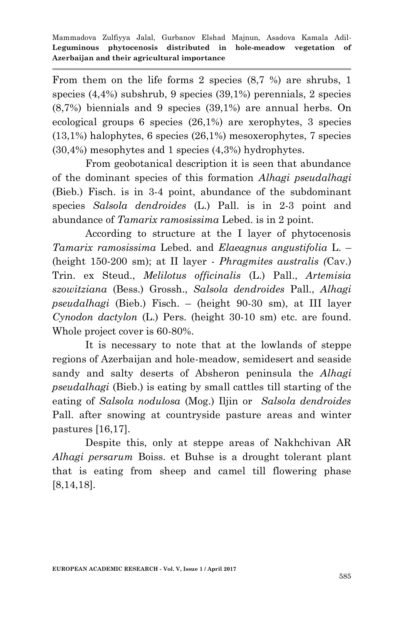From them on the life forms 2 species (8,7 %) are shrubs, 1 species (4,4%) subshrub, 9 species (39,1%) perennials, 2 species (8,7%) biennials and 9 species (39,1%) are annual herbs. On ecological groups 6 species (26,1%) are xerophytes, 3 species (13,1%) halophytes, 6 species (26,1%) mesoxerophytes, 7 species (30,4%) mesophytes and 1 species (4,3%) hydrophytes.

From geobotanical description it is seen that abundance of the dominant species of this formation *Alhagi pseudalhagi* (Bieb.) Fisch. is in 3-4 point, abundance of the subdominant species *Salsola dendroides* (L.) Pall. is in 2-3 point and abundance of *Tamarix ramosissima* Lebed. is in 2 point.

According to structure at the I layer of phytocenosis *Tamarix ramosissima* Lebed. and *Elaeagnus angustifolia* L. – (height 150-200 sm); at II layer - *Phragmites australis (*Cav.) Trin. ex Steud., *Melilotus officinalis* (L.) Pall., *Artemisia szowitziana* (Bess.) Grossh., *Salsola dendroides* Pall., *Alhagi pseudalhagi* (Bieb.) Fisch. – (height 90-30 sm), at III layer *Cynodon dactylon* (L.) Pers. (height 30-10 sm) etc. are found. Whole project cover is 60-80%.

It is necessary to note that at the lowlands of steppe regions of Azerbaijan and hole-meadow, semidesert and seaside sandy and salty deserts of Absheron peninsula the *Alhagi pseudalhagi* (Bieb.) is eating by small cattles till starting of the eating of *Salsola nodulosa* (Mog.) Iljin or *Salsola dendroides* Pall. after snowing at countryside pasture areas and winter pastures [16,17].

Despite this, only at steppe areas of Nakhchivan AR *Alhagi persarum* Boiss. et Buhse is a drought tolerant plant that is eating from sheep and camel till flowering phase [8,14,18].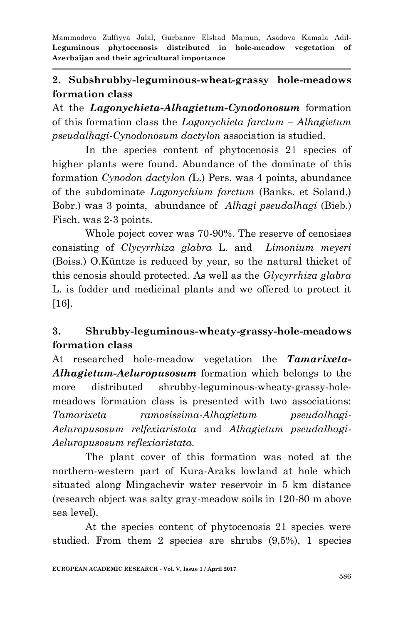## **2. Subshrubby-leguminous-wheat-grassy hole-meadows formation class**

At the *Lagonychieta-Alhagietum-Cynodonosum* formation of this formation class the *Lagonychieta farctum – Alhagietum pseudalhagi-Cynodonosum dactylon* association is studied.

In the species content of phytocenosis 21 species of higher plants were found. Abundance of the dominate of this formation *Cynodon dactylon (*L.) Pers. was 4 points, abundance of the subdominate *Lagonychium farctum* (Banks. et Soland.) Bobr.) was 3 points, abundance of *Alhagi pseudalhagi* (Bieb.) Fisch. was 2-3 points.

Whole poject cover was 70-90%. The reserve of cenosises consisting of *Clycyrrhiza glabra* L. and *Limonium meyeri* (Boiss.) O.Küntze is reduced by year, so the natural thicket of this cenosis should protected. As well as the *Glycyrrhiza glabra*  L. is fodder and medicinal plants and we offered to protect it [16].

## **3. Shrubby-leguminous-wheaty-grassy-hole-meadows formation class**

At researched hole-meadow vegetation the *Tamarixeta-Alhagietum-Aeluropusosum* formation which belongs to the more distributed shrubby-leguminous-wheaty-grassy-holemeadows formation class is presented with two associations: *Tamarixeta ramosissima-Alhagietum pseudalhagi-Aeluropusosum relfexiaristata* and *Alhagietum pseudalhagi-Aeluropusosum reflexiaristata.*

The plant cover of this formation was noted at the northern-western part of Kura-Araks lowland at hole which situated along Mingachevir water reservoir in 5 km distance (research object was salty gray-meadow soils in 120-80 m above sea level).

At the species content of phytocenosis 21 species were studied. From them 2 species are shrubs (9,5%), 1 species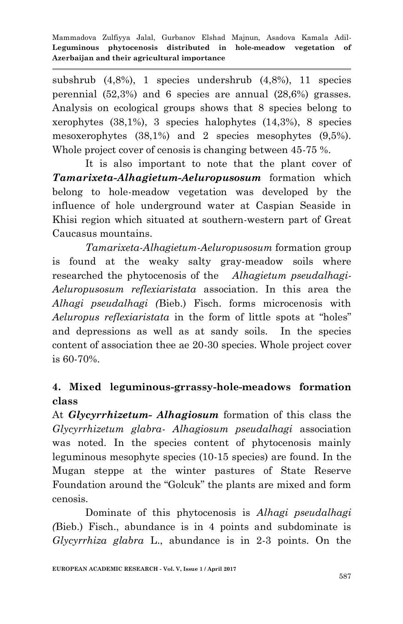subshrub (4,8%), 1 species undershrub (4,8%), 11 species perennial (52,3%) and 6 species are annual (28,6%) grasses. Analysis on ecological groups shows that 8 species belong to xerophytes (38,1%), 3 species halophytes (14,3%), 8 species mesoxerophytes (38,1%) and 2 species mesophytes (9,5%). Whole project cover of cenosis is changing between 45-75 %.

It is also important to note that the plant cover of *Tamarixeta-Alhagietum-Aeluropusosum* formation which belong to hole-meadow vegetation was developed by the influence of hole underground water at Caspian Seaside in Khisi region which situated at southern-western part of Great Caucasus mountains.

*Tamarixeta-Alhagietum-Aeluropusosum* formation group is found at the weaky salty gray-meadow soils where researched the phytocenosis of the *Alhagietum pseudalhagi-Aeluropusosum reflexiaristata* association. In this area the *Alhagi pseudalhagi (*Bieb.) Fisch. forms microcenosis with *Aeluropus reflexiaristata* in the form of little spots at "holes" and depressions as well as at sandy soils. In the species content of association thee ae 20-30 species. Whole project cover is 60-70%.

## **4. Mixed leguminous-grrassy-hole-meadows formation class**

At *Glycyrrhizetum- Alhagiosum* formation of this class the *Glycyrrhizetum glabra- Alhagiosum pseudalhagi* association was noted. In the species content of phytocenosis mainly leguminous mesophyte species (10-15 species) are found. In the Mugan steppe at the winter pastures of State Reserve Foundation around the "Golcuk" the plants are mixed and form cenosis.

Dominate of this phytocenosis is *Alhagi pseudalhagi (*Bieb.) Fisch., abundance is in 4 points and subdominate is *Glycyrrhiza glabra* L., abundance is in 2-3 points. On the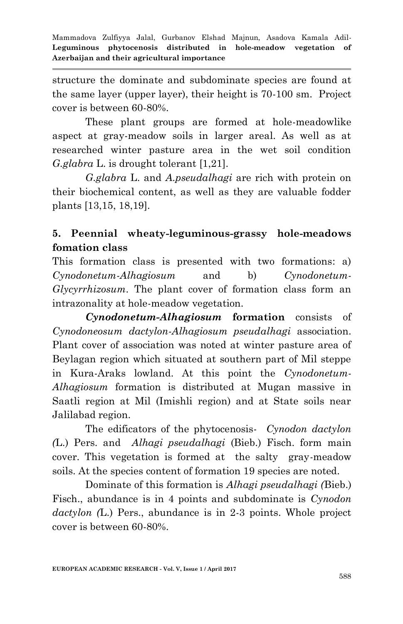structure the dominate and subdominate species are found at the same layer (upper layer), their height is 70-100 sm. Project cover is between 60-80%.

These plant groups are formed at hole-meadowlike aspect at gray-meadow soils in larger areal. As well as at researched winter pasture area in the wet soil condition *G.glabra* L. is drought tolerant [1,21].

*G.glabra* L. and *A.pseudalhagi* are rich with protein on their biochemical content, as well as they are valuable fodder plants [13,15, 18,19].

# **5. Peennial wheaty-leguminous-grassy hole-meadows fomation class**

This formation class is presented with two formations: a) *Cynodonetum-Alhagiosum* and b) *Cynodonetum-Glycyrrhizosum*. The plant cover of formation class form an intrazonality at hole-meadow vegetation.

*Cynodonetum-Alhagiosum* **formation** consists of *Cynodoneosum dactylon-Alhagiosum pseudalhagi* association. Plant cover of association was noted at winter pasture area of Beylagan region which situated at southern part of Mil steppe in Kura-Araks lowland. At this point the *Cynodonetum-Alhagiosum* formation is distributed at Mugan massive in Saatli region at Mil (Imishli region) and at State soils near Jalilabad region.

The edificators of the phytocenosis- *Cynodon dactylon (*L.) Pers. and *Alhagi pseudalhagi* (Bieb.) Fisch. form main cover. This vegetation is formed at the salty gray-meadow soils. At the species content of formation 19 species are noted.

Dominate of this formation is *Alhagi pseudalhagi (*Bieb.) Fisch., abundance is in 4 points and subdominate is *Cynodon dactylon (*L.) Pers., abundance is in 2-3 points. Whole project cover is between 60-80%.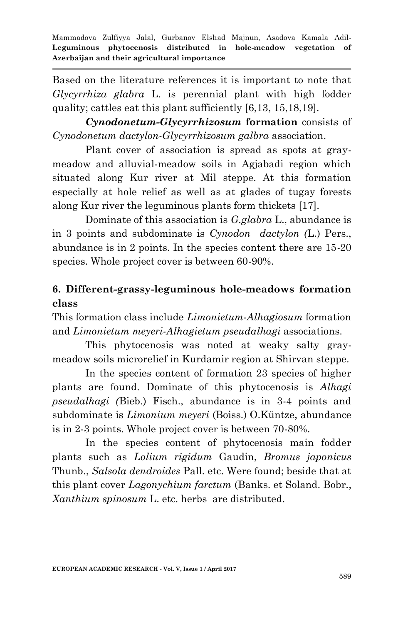Based on the literature references it is important to note that *Glycyrrhiza glabra* L. is perennial plant with high fodder quality; cattles eat this plant sufficiently [6,13, 15,18,19].

*Cynodonetum-Glycyrrhizosum* **formation** consists of *Cynodonetum dactylon-Glycyrrhizosum galbra* association.

Plant cover of association is spread as spots at graymeadow and alluvial-meadow soils in Agjabadi region which situated along Kur river at Mil steppe. At this formation especially at hole relief as well as at glades of tugay forests along Kur river the leguminous plants form thickets [17].

Dominate of this association is *G.glabra* L., abundance is in 3 points and subdominate is *Cynodon dactylon (*L.) Pers., abundance is in 2 points. In the species content there are 15-20 species. Whole project cover is between 60-90%.

# **6. Different-grassy-leguminous hole-meadows formation class**

This formation class include *Limonietum-Alhagiosum* formation and *Limonietum meyeri-Alhagietum pseudalhagi* associations.

This phytocenosis was noted at weaky salty graymeadow soils microrelief in Kurdamir region at Shirvan steppe.

In the species content of formation 23 species of higher plants are found. Dominate of this phytocenosis is *Alhagi pseudalhagi (*Bieb.) Fisch., abundance is in 3-4 points and subdominate is *Limonium meyeri* (Boiss.) O.Küntze, abundance is in 2-3 points. Whole project cover is between 70-80%.

In the species content of phytocenosis main fodder plants such as *Lolium rigidum* Gaudin, *Bromus japonicus* Thunb., *Salsola dendroides* Pall. etc. Were found; beside that at this plant cover *Lagonychium farctum* (Banks. et Soland. Bobr., *Xanthium spinosum* L. etc. herbs are distributed.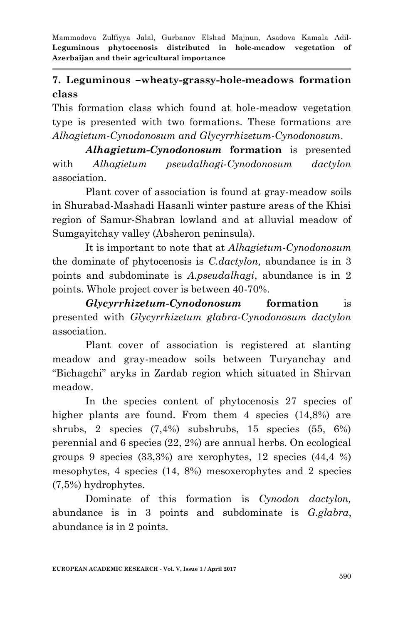#### **7. Leguminous –wheaty-grassy-hole-meadows formation class**

This formation class which found at hole-meadow vegetation type is presented with two formations. These formations are *Alhagietum-Cynodonosum and Glycyrrhizetum-Cynodonosum*.

*Alhagietum-Cynodonosum* **formation** is presented with *Alhagietum pseudalhagi-Cynodonosum dactylon* association.

Plant cover of association is found at gray-meadow soils in Shurabad-Mashadi Hasanli winter pasture areas of the Khisi region of Samur-Shabran lowland and at alluvial meadow of Sumgayitchay valley (Absheron peninsula).

It is important to note that at *Alhagietum-Cynodonosum*  the dominate of phytocenosis is *C.dactylon,* abundance is in 3 points and subdominate is *A.pseudalhagi*, abundance is in 2 points. Whole project cover is between 40-70%.

*Glycyrrhizetum-Cynodonosum* **formation** is presented with *Glycyrrhizetum glabra-Cynodonosum dactylon* association.

Plant cover of association is registered at slanting meadow and gray-meadow soils between Turyanchay and "Bichagchi" aryks in Zardab region which situated in Shirvan meadow.

In the species content of phytocenosis 27 species of higher plants are found. From them 4 species  $(14,8\%)$  are shrubs, 2 species (7,4%) subshrubs, 15 species (55, 6%) perennial and 6 species (22, 2%) are annual herbs. On ecological groups 9 species  $(33,3\%)$  are xerophytes, 12 species  $(44,4\%)$ mesophytes, 4 species (14, 8%) mesoxerophytes and 2 species (7,5%) hydrophytes.

Dominate of this formation is *Cynodon dactylon,*  abundance is in 3 points and subdominate is *G.glabra*, abundance is in 2 points.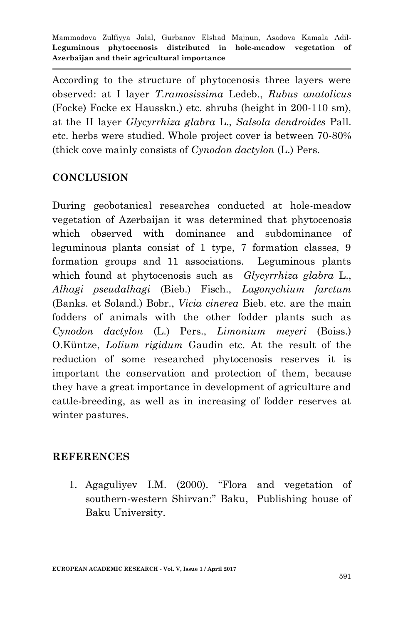According to the structure of phytocenosis three layers were observed: at I layer *T.ramosissima* Ledeb., *Rubus anatolicus* (Focke) Focke ex Hausskn.) etc. shrubs (height in 200-110 sm), at the II layer *Glycyrrhiza glabra* L., *Salsola dendroides* Pall. etc. herbs were studied. Whole project cover is between 70-80% (thick cove mainly consists of *Cynodon dactylon* (L.) Pers.

#### **CONCLUSION**

During geobotanical researches conducted at hole-meadow vegetation of Azerbaijan it was determined that phytocenosis which observed with dominance and subdominance of leguminous plants consist of 1 type, 7 formation classes, 9 formation groups and 11 associations. Leguminous plants which found at phytocenosis such as *Glycyrrhiza glabra* L., *Alhagi pseudalhagi* (Bieb.) Fisch., *Lagonychium farctum* (Banks. et Soland.) Bobr., *Vicia cinerea* Bieb. etc. are the main fodders of animals with the other fodder plants such as *Cynodon dactylon* (L.) Pers., *Limonium meyeri* (Boiss.) O.Küntze, *Lolium rigidum* Gaudin etc. At the result of the reduction of some researched phytocenosis reserves it is important the conservation and protection of them, because they have a great importance in development of agriculture and cattle-breeding, as well as in increasing of fodder reserves at winter pastures.

#### **REFERENCES**

1. Аgаguliyеv I.М. (2000). "Flora and vegetation of southern-western Shirvan:" Bаku, Publishing house of Baku University.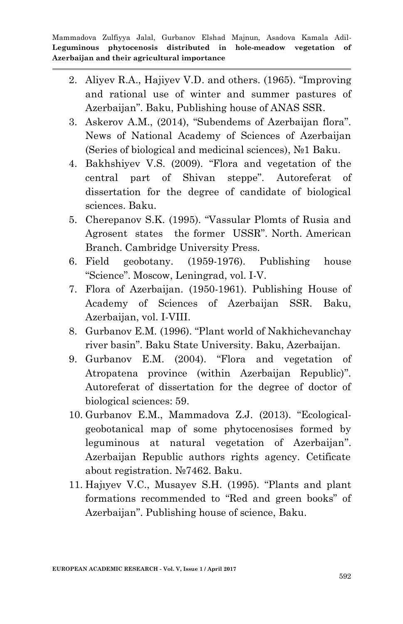- 2. Aliyev R.A., Hajiyev V.D. and others. (1965). "Improving and rational use of winter and summer pastures of Azerbaijan". Baku, Publishing house of ANAS SSR.
- 3. Askerov A.M., (2014), "Subendems of Azerbaijan flora". News of National Academy of Sciences of Azerbaijan (Series of biological and medicinal sciences), №1 Baku.
- 4. Bakhshiyev V.S. (2009). "Flora and vegetation of the central part of Shivan steppe". Autoreferat of dissertation for the degree of candidate of biological sciences. Baku.
- 5. Cherepanov S.K. (1995). "Vassular Plomts of Rusia and Agrosent states the former USSR". North. American Branch. Cambridge University Press.
- 6. Field geobotany. (1959-1976). Publishing house "Science". Moscow, Leningrad, vol. I-V.
- 7. Flora of Azerbaijan. (1950-1961). Publishing House of Academy of Sciences of Azerbaijan SSR. Baku, Azerbaijan, vol. I-VIII.
- 8. Gurbanov E.M. (1996). "Plant world of Nakhichevanchay river basin". Baku State University. Baku, Azerbaijan.
- 9. Gurbanov E.M. (2004). "Flora and vegetation of Atropatena province (within Azerbaijan Republic)". Autoreferat of dissertation for the degree of doctor of biological sciences: 59.
- 10. Gurbanov E.M., Mammadova Z.J. (2013). "Ecologicalgeobotanical map of some phytocenosises formed by leguminous at natural vegetation of Azerbaijan". Azerbaijan Republic authors rights agency. Cetificate about registration. №7462. Baku.
- 11. Hajıyev V.C., Musayev S.H. (1995). "Plants and plant formations recommended to "Red and green books" of Azerbaijan". Publishing house of science, Baku.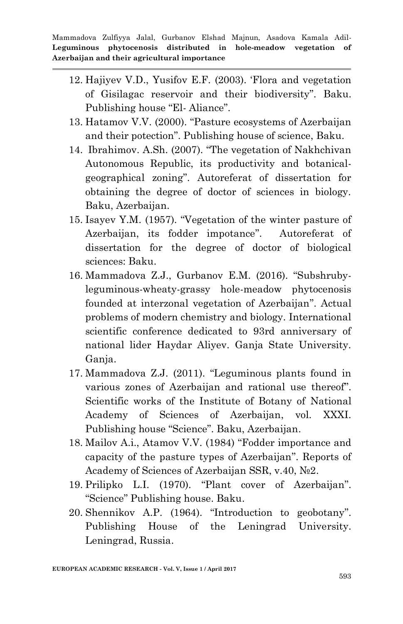- 12. Hajiyev V.D., Yusifov E.F. (2003). "Flora and vegetation of Gisilagac reservoir and their biodiversity". Baku. Publishing house "El- Aliance".
- 13. Hatamov V.V. (2000). "Pasture ecosystems of Azerbaijan and their potection". Publishing house of science, Baku.
- 14. Ibrahimov. A.Sh. (2007). "The vegetation of Nakhchivan Autonomous Republic, its productivity and botanicalgeographical zoning". Autoreferat of dissertation for obtaining the degree of doctor of sciences in biology. Baku, Azerbaijan.
- 15. Isayev Y.М. (1957). "Vegetation of the winter pasture of Azerbaijan, its fodder impotance". Autoreferat of dissertation for the degree of doctor of biological sciences: Baku.
- 16. Mammadova Z.J., Gurbanov E.M. (2016). "Subshrubyleguminous-wheaty-grassy hole-meadow phytocenosis founded at interzonal vegetation of Azerbaijan". Actual problems of modern chemistry and biology. International scientific conference dedicated to 93rd anniversary of national lider Haydar Aliyev. Ganja State University. Ganja.
- 17. Mammadova Z.J. (2011). "Leguminous plants found in various zones of Azerbaijan and rational use thereof". Scientific works of the Institute of Botany of National Academy of Sciences of Azerbaijan, vol. XXXI. Publishing house "Science". Baku, Azerbaijan.
- 18. Mailov А.i., Аtamov V.V. (1984) "Fodder importance and capacity of the pasture types of Azerbaijan". Reports of Academy of Sciences of Azerbaijan SSR, v.40, №2.
- 19. Prilipko L.I. (1970). "Plant cover of Azerbaijan". "Science" Publishing house. Baku.
- 20. Shennikov A.P. (1964). "Introduction to geobotany". Publishing House of the Leningrad University. Leningrad, Russia.